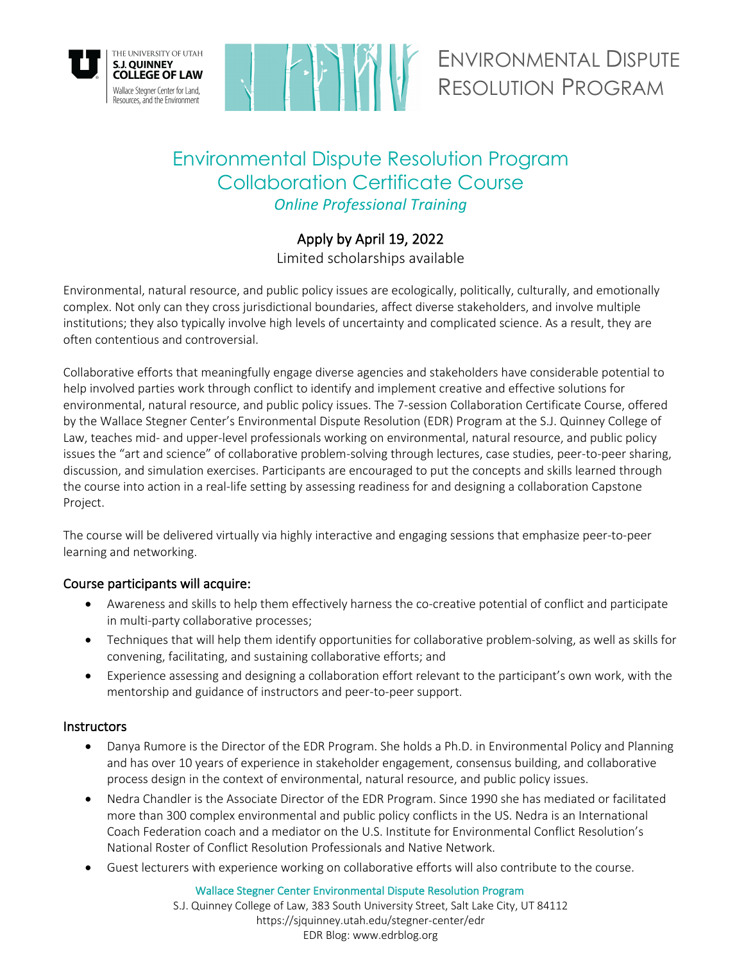



ENVIRONMENTAL DISPUTE RESOLUTION PROGRAM

# Environmental Dispute Resolution Program Collaboration Certificate Course *Online Professional Training*

# Apply by April 19, 2022

Limited scholarships available

Environmental, natural resource, and public policy issues are ecologically, politically, culturally, and emotionally complex. Not only can they cross jurisdictional boundaries, affect diverse stakeholders, and involve multiple institutions; they also typically involve high levels of uncertainty and complicated science. As a result, they are often contentious and controversial.

Collaborative efforts that meaningfully engage diverse agencies and stakeholders have considerable potential to help involved parties work through conflict to identify and implement creative and effective solutions for environmental, natural resource, and public policy issues. The 7-session Collaboration Certificate Course, offered by the Wallace Stegner Center's Environmental Dispute Resolution (EDR) Program at the S.J. Quinney College of Law, teaches mid- and upper-level professionals working on environmental, natural resource, and public policy issues the "art and science" of collaborative problem-solving through lectures, case studies, peer-to-peer sharing, discussion, and simulation exercises. Participants are encouraged to put the concepts and skills learned through the course into action in a real-life setting by assessing readiness for and designing a collaboration Capstone Project.

The course will be delivered virtually via highly interactive and engaging sessions that emphasize peer-to-peer learning and networking.

# Course participants will acquire:

- Awareness and skills to help them effectively harness the co-creative potential of conflict and participate in multi-party collaborative processes;
- Techniques that will help them identify opportunities for collaborative problem-solving, as well as skills for convening, facilitating, and sustaining collaborative efforts; and
- Experience assessing and designing a collaboration effort relevant to the participant's own work, with the mentorship and guidance of instructors and peer-to-peer support.

# **Instructors**

- Danya Rumore is the Director of the EDR Program. She holds a Ph.D. in Environmental Policy and Planning and has over 10 years of experience in stakeholder engagement, consensus building, and collaborative process design in the context of environmental, natural resource, and public policy issues.
- Nedra Chandler is the Associate Director of the EDR Program. Since 1990 she has mediated or facilitated more than 300 complex environmental and public policy conflicts in the US. Nedra is an International Coach Federation coach and a mediator on the U.S. Institute for Environmental Conflict Resolution's National Roster of Conflict Resolution Professionals and Native Network.
- Guest lecturers with experience working on collaborative efforts will also contribute to the course.

Wallace Stegner Center Environmental Dispute Resolution Program

S.J. Quinney College of Law, 383 South University Street, Salt Lake City, UT 84112 https://sjquinney.utah.edu/stegner-center/edr EDR Blog: www.edrblog.org